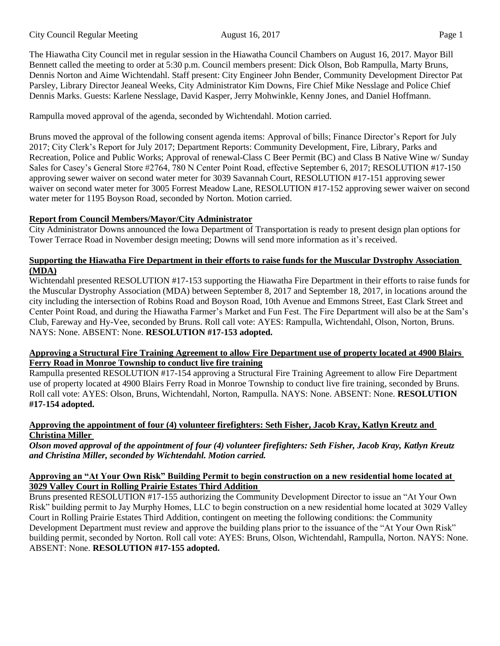The Hiawatha City Council met in regular session in the Hiawatha Council Chambers on August 16, 2017. Mayor Bill Bennett called the meeting to order at 5:30 p.m. Council members present: Dick Olson, Bob Rampulla, Marty Bruns, Dennis Norton and Aime Wichtendahl. Staff present: City Engineer John Bender, Community Development Director Pat Parsley, Library Director Jeaneal Weeks, City Administrator Kim Downs, Fire Chief Mike Nesslage and Police Chief Dennis Marks. Guests: Karlene Nesslage, David Kasper, Jerry Mohwinkle, Kenny Jones, and Daniel Hoffmann.

Rampulla moved approval of the agenda, seconded by Wichtendahl. Motion carried.

Bruns moved the approval of the following consent agenda items: Approval of bills; Finance Director's Report for July 2017; City Clerk's Report for July 2017; Department Reports: Community Development, Fire, Library, Parks and Recreation, Police and Public Works; Approval of renewal-Class C Beer Permit (BC) and Class B Native Wine w/ Sunday Sales for Casey's General Store #2764, 780 N Center Point Road, effective September 6, 2017; RESOLUTION #17-150 approving sewer waiver on second water meter for 3039 Savannah Court, RESOLUTION #17-151 approving sewer waiver on second water meter for 3005 Forrest Meadow Lane, RESOLUTION #17-152 approving sewer waiver on second water meter for 1195 Boyson Road, seconded by Norton. Motion carried.

# **Report from Council Members/Mayor/City Administrator**

City Administrator Downs announced the Iowa Department of Transportation is ready to present design plan options for Tower Terrace Road in November design meeting; Downs will send more information as it's received.

## **Supporting the Hiawatha Fire Department in their efforts to raise funds for the Muscular Dystrophy Association (MDA)**

Wichtendahl presented RESOLUTION #17-153 supporting the Hiawatha Fire Department in their efforts to raise funds for the Muscular Dystrophy Association (MDA) between September 8, 2017 and September 18, 2017, in locations around the city including the intersection of Robins Road and Boyson Road, 10th Avenue and Emmons Street, East Clark Street and Center Point Road, and during the Hiawatha Farmer's Market and Fun Fest. The Fire Department will also be at the Sam's Club, Fareway and Hy-Vee, seconded by Bruns. Roll call vote: AYES: Rampulla, Wichtendahl, Olson, Norton, Bruns. NAYS: None. ABSENT: None. **RESOLUTION #17-153 adopted.** 

## **Approving a Structural Fire Training Agreement to allow Fire Department use of property located at 4900 Blairs Ferry Road in Monroe Township to conduct live fire training**

Rampulla presented RESOLUTION #17-154 approving a Structural Fire Training Agreement to allow Fire Department use of property located at 4900 Blairs Ferry Road in Monroe Township to conduct live fire training, seconded by Bruns. Roll call vote: AYES: Olson, Bruns, Wichtendahl, Norton, Rampulla. NAYS: None. ABSENT: None. **RESOLUTION #17-154 adopted.** 

## **Approving the appointment of four (4) volunteer firefighters: Seth Fisher, Jacob Kray, Katlyn Kreutz and Christina Miller**

*Olson moved approval of the appointment of four (4) volunteer firefighters: Seth Fisher, Jacob Kray, Katlyn Kreutz and Christina Miller, seconded by Wichtendahl. Motion carried.* 

## **Approving an "At Your Own Risk" Building Permit to begin construction on a new residential home located at 3029 Valley Court in Rolling Prairie Estates Third Addition**

Bruns presented RESOLUTION #17-155 authorizing the Community Development Director to issue an "At Your Own Risk" building permit to Jay Murphy Homes, LLC to begin construction on a new residential home located at 3029 Valley Court in Rolling Prairie Estates Third Addition, contingent on meeting the following conditions: the Community Development Department must review and approve the building plans prior to the issuance of the "At Your Own Risk" building permit, seconded by Norton. Roll call vote: AYES: Bruns, Olson, Wichtendahl, Rampulla, Norton. NAYS: None. ABSENT: None. **RESOLUTION #17-155 adopted.**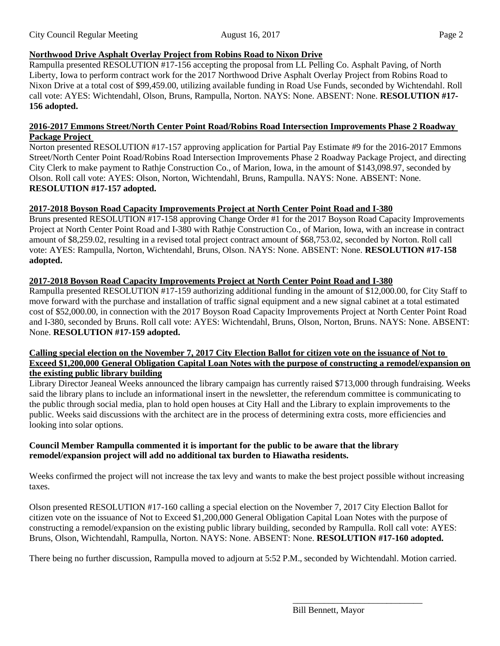# **Northwood Drive Asphalt Overlay Project from Robins Road to Nixon Drive**

Rampulla presented RESOLUTION #17-156 accepting the proposal from LL Pelling Co. Asphalt Paving, of North Liberty, Iowa to perform contract work for the 2017 Northwood Drive Asphalt Overlay Project from Robins Road to Nixon Drive at a total cost of \$99,459.00, utilizing available funding in Road Use Funds, seconded by Wichtendahl. Roll call vote: AYES: Wichtendahl, Olson, Bruns, Rampulla, Norton. NAYS: None. ABSENT: None. **RESOLUTION #17- 156 adopted.** 

#### **2016-2017 Emmons Street/North Center Point Road/Robins Road Intersection Improvements Phase 2 Roadway Package Project**

Norton presented RESOLUTION #17-157 approving application for Partial Pay Estimate #9 for the 2016-2017 Emmons Street/North Center Point Road/Robins Road Intersection Improvements Phase 2 Roadway Package Project, and directing City Clerk to make payment to Rathje Construction Co., of Marion, Iowa, in the amount of \$143,098.97, seconded by Olson. Roll call vote: AYES: Olson, Norton, Wichtendahl, Bruns, Rampulla. NAYS: None. ABSENT: None. **RESOLUTION #17-157 adopted.** 

## **2017-2018 Boyson Road Capacity Improvements Project at North Center Point Road and I-380**

Bruns presented RESOLUTION #17-158 approving Change Order #1 for the 2017 Boyson Road Capacity Improvements Project at North Center Point Road and I-380 with Rathje Construction Co., of Marion, Iowa, with an increase in contract amount of \$8,259.02, resulting in a revised total project contract amount of \$68,753.02, seconded by Norton. Roll call vote: AYES: Rampulla, Norton, Wichtendahl, Bruns, Olson. NAYS: None. ABSENT: None. **RESOLUTION #17-158 adopted.** 

## **2017-2018 Boyson Road Capacity Improvements Project at North Center Point Road and I-380**

Rampulla presented RESOLUTION #17-159 authorizing additional funding in the amount of \$12,000.00, for City Staff to move forward with the purchase and installation of traffic signal equipment and a new signal cabinet at a total estimated cost of \$52,000.00, in connection with the 2017 Boyson Road Capacity Improvements Project at North Center Point Road and I-380, seconded by Bruns. Roll call vote: AYES: Wichtendahl, Bruns, Olson, Norton, Bruns. NAYS: None. ABSENT: None. **RESOLUTION #17-159 adopted.** 

## **Calling special election on the November 7, 2017 City Election Ballot for citizen vote on the issuance of Not to Exceed \$1,200,000 General Obligation Capital Loan Notes with the purpose of constructing a remodel/expansion on the existing public library building**

Library Director Jeaneal Weeks announced the library campaign has currently raised \$713,000 through fundraising. Weeks said the library plans to include an informational insert in the newsletter, the referendum committee is communicating to the public through social media, plan to hold open houses at City Hall and the Library to explain improvements to the public. Weeks said discussions with the architect are in the process of determining extra costs, more efficiencies and looking into solar options.

## **Council Member Rampulla commented it is important for the public to be aware that the library remodel/expansion project will add no additional tax burden to Hiawatha residents.**

Weeks confirmed the project will not increase the tax levy and wants to make the best project possible without increasing taxes.

Olson presented RESOLUTION #17-160 calling a special election on the November 7, 2017 City Election Ballot for citizen vote on the issuance of Not to Exceed \$1,200,000 General Obligation Capital Loan Notes with the purpose of constructing a remodel/expansion on the existing public library building, seconded by Rampulla. Roll call vote: AYES: Bruns, Olson, Wichtendahl, Rampulla, Norton. NAYS: None. ABSENT: None. **RESOLUTION #17-160 adopted.** 

There being no further discussion, Rampulla moved to adjourn at 5:52 P.M., seconded by Wichtendahl. Motion carried.

\_\_\_\_\_\_\_\_\_\_\_\_\_\_\_\_\_\_\_\_\_\_\_\_\_\_\_\_\_